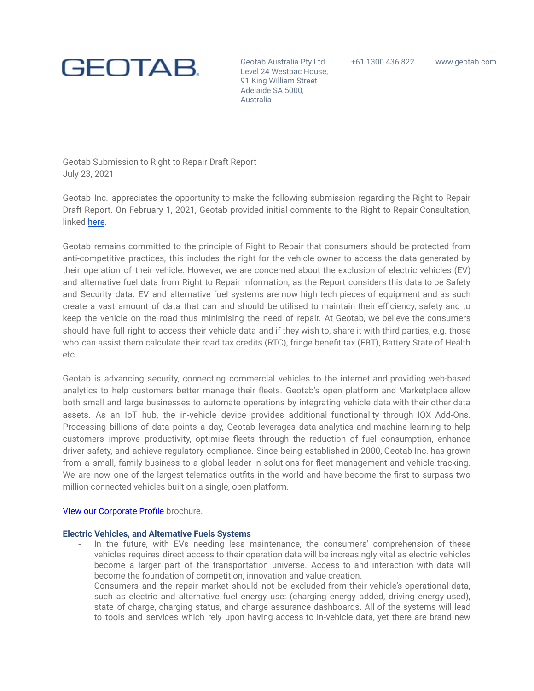

Geotab Australia Pty Ltd +61 1300 436 822 <www.geotab.com> Level 24 Westpac House, 91 King William Street Adelaide SA 5000, Australia

Geotab Submission to Right to Repair Draft Report July 23, 2021

Geotab Inc. appreciates the opportunity to make the following submission regarding the Right to Repair Draft Report. On February 1, 2021, Geotab provided initial comments to the Right to Repair Consultation, linked here.

Geotab remains committed to the principle of Right to Repair that consumers should be protected from anti-competitive practices, this includes the right for the vehicle owner to access the data generated by their operation of their vehicle. However, we are concerned about the exclusion of electric vehicles (EV) and alternative fuel data from Right to Repair information, as the Report considers this data to be Safety and Security data. EV and alternative fuel systems are now high tech pieces of equipment and as such create a vast amount of data that can and should be utilised to maintain their efficiency, safety and to keep the vehicle on the road thus minimising the need of repair. At Geotab, we believe the consumers should have full right to access their vehicle data and if they wish to, share it with third parties, e.g. those who can assist them calculate their road tax credits (RTC), fringe benefit tax (FBT), Battery State of Health etc.

Geotab is advancing security, connecting commercial vehicles to the internet and providing web-based analytics to help customers better manage their fleets. Geotab's open platform and Marketplace allow both small and large businesses to automate operations by integrating vehicle data with their other data assets. As an IoT hub, the in-vehicle device provides additional functionality through IOX Add-Ons. Processing billions of data points a day, Geotab leverages data analytics and machine learning to help customers improve productivity, optimise fleets through the reduction of fuel consumption, enhance driver safety, and achieve regulatory compliance. Since being established in 2000, Geotab Inc. has grown from a small, family business to a global leader in solutions for fleet management and vehicle tracking. We are now one of the largest telematics outfits in the world and have become the first to surpass two million connected vehicles built on a single, open platform.

# View our Corporate Profile brochure.

# **Electric Vehicles, and Alternative Fuels Systems**

- In the future, with EVs needing less maintenance, the consumers' comprehension of these vehicles requires direct access to their operation data will be increasingly vital as electric vehicles become a larger part of the transportation universe. Access to and interaction with data will become the foundation of competition, innovation and value creation.
- Consumers and the repair market should not be excluded from their vehicle's operational data, such as electric and alternative fuel energy use: (charging energy added, driving energy used), state of charge, charging status, and charge assurance dashboards. All of the systems will lead to tools and services which rely upon having access to in-vehicle data, yet there are brand new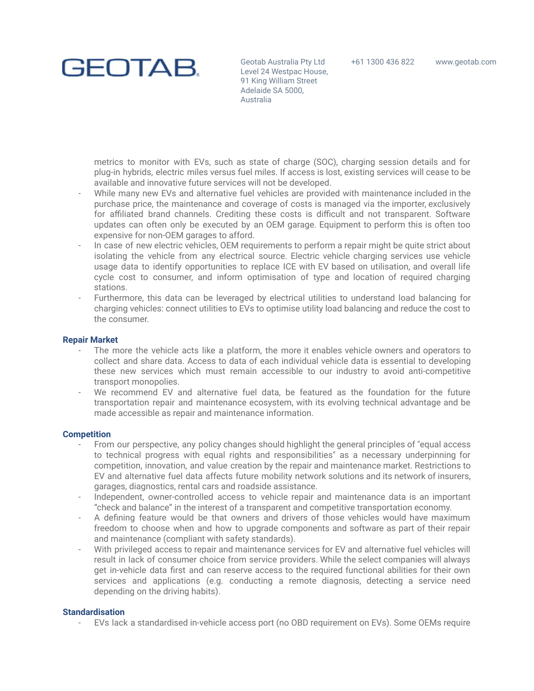

Geotab Australia Pty Ltd +61 1300 436 822 <www.geotab.com> Level 24 Westpac House, 91 King William Street Adelaide SA 5000, Australia

metrics to monitor with EVs, such as state of charge (SOC), charging session details and for plug-in hybrids, electric miles versus fuel miles. If access is lost, existing services will cease to be available and innovative future services will not be developed.

- While many new EVs and alternative fuel vehicles are provided with maintenance included in the purchase price, the maintenance and coverage of costs is managed via the importer, exclusively for affiliated brand channels. Crediting these costs is difficult and not transparent. Software updates can often only be executed by an OEM garage. Equipment to perform this is often too expensive for non-OEM garages to afford.
- In case of new electric vehicles, OEM requirements to perform a repair might be quite strict about isolating the vehicle from any electrical source. Electric vehicle charging services use vehicle usage data to identify opportunities to replace ICE with EV based on utilisation, and overall life cycle cost to consumer, and inform optimisation of type and location of required charging stations.
- Furthermore, this data can be leveraged by electrical utilities to understand load balancing for charging vehicles: connect utilities to EVs to optimise utility load balancing and reduce the cost to the consumer.

# **Repair Market**

- The more the vehicle acts like a platform, the more it enables vehicle owners and operators to collect and share data. Access to data of each individual vehicle data is essential to developing these new services which must remain accessible to our industry to avoid anti-competitive transport monopolies.
- We recommend EV and alternative fuel data, be featured as the foundation for the future transportation repair and maintenance ecosystem, with its evolving technical advantage and be made accessible as repair and maintenance information.

# **Competition**

- From our perspective, any policy changes should highlight the general principles of "equal access" to technical progress with equal rights and responsibilities" as a necessary underpinning for competition, innovation, and value creation by the repair and maintenance market. Restrictions to EV and alternative fuel data affects future mobility network solutions and its network of insurers, garages, diagnostics, rental cars and roadside assistance.
- Independent, owner-controlled access to vehicle repair and maintenance data is an important "check and balance" in the interest of a transparent and competitive transportation economy.
- A defining feature would be that owners and drivers of those vehicles would have maximum freedom to choose when and how to upgrade components and software as part of their repair and maintenance (compliant with safety standards).
- With privileged access to repair and maintenance services for EV and alternative fuel vehicles will result in lack of consumer choice from service providers. While the select companies will always get in-vehicle data first and can reserve access to the required functional abilities for their own services and applications (e.g. conducting a remote diagnosis, detecting a service need depending on the driving habits).

# **Standardisation**

- EVs lack a standardised in-vehicle access port (no OBD requirement on EVs). Some OEMs require